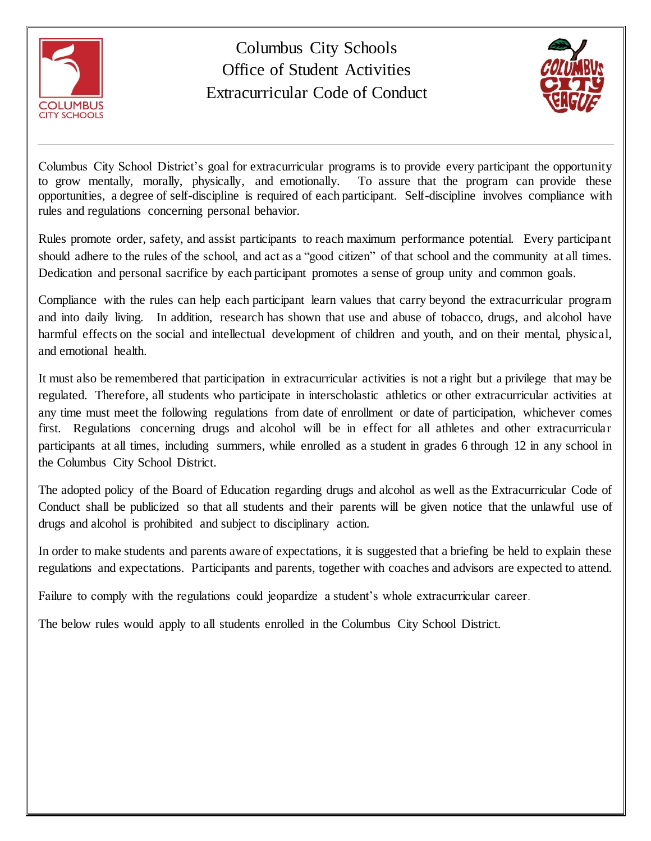

Columbus City Schools Office of Student Activities Extracurricular Code of Conduct



Columbus City School District's goal for extracurricular programs is to provide every participant the opportunity to grow mentally, morally, physically, and emotionally. To assure that the program can provide these opportunities, a degree of self-discipline is required of each participant. Self-discipline involves compliance with rules and regulations concerning personal behavior.

Rules promote order, safety, and assist participants to reach maximum performance potential. Every participant should adhere to the rules of the school, and act as a "good citizen" of that school and the community at all times. Dedication and personal sacrifice by each participant promotes a sense of group unity and common goals.

Compliance with the rules can help each participant learn values that carry beyond the extracurricular program and into daily living. In addition, research has shown that use and abuse of tobacco, drugs, and alcohol have harmful effects on the social and intellectual development of children and youth, and on their mental, physical, and emotional health.

It must also be remembered that participation in extracurricular activities is not a right but a privilege that may be regulated. Therefore, all students who participate in interscholastic athletics or other extracurricular activities at any time must meet the following regulations from date of enrollment or date of participation, whichever comes first. Regulations concerning drugs and alcohol will be in effect for all athletes and other extracurricular participants at all times, including summers, while enrolled as a student in grades 6 through 12 in any school in the Columbus City School District.

The adopted policy of the Board of Education regarding drugs and alcohol as well as the Extracurricular Code of Conduct shall be publicized so that all students and their parents will be given notice that the unlawful use of drugs and alcohol is prohibited and subject to disciplinary action.

In order to make students and parents aware of expectations, it is suggested that a briefing be held to explain these regulations and expectations. Participants and parents, together with coaches and advisors are expected to attend.

Failure to comply with the regulations could jeopardize a student's whole extracurricular career.

The below rules would apply to all students enrolled in the Columbus City School District.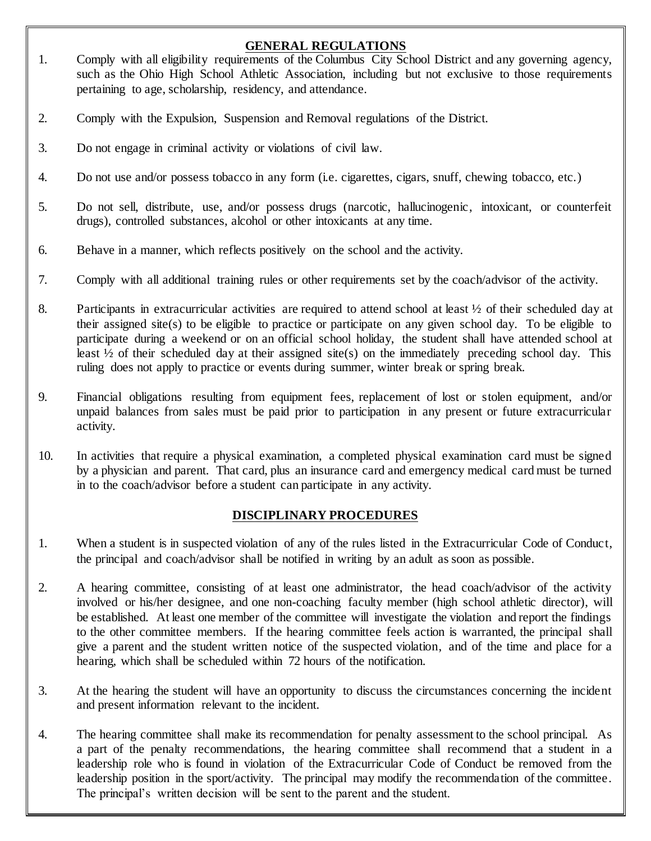# **GENERAL REGULATIONS**

- 1. Comply with all eligibility requirements of the Columbus City School District and any governing agency, such as the Ohio High School Athletic Association, including but not exclusive to those requirements pertaining to age, scholarship, residency, and attendance.
- 2. Comply with the Expulsion, Suspension and Removal regulations of the District.
- 3. Do not engage in criminal activity or violations of civil law.
- 4. Do not use and/or possess tobacco in any form (i.e. cigarettes, cigars, snuff, chewing tobacco, etc.)
- 5. Do not sell, distribute, use, and/or possess drugs (narcotic, hallucinogenic, intoxicant, or counterfeit drugs), controlled substances, alcohol or other intoxicants at any time.
- 6. Behave in a manner, which reflects positively on the school and the activity.
- 7. Comply with all additional training rules or other requirements set by the coach/advisor of the activity.
- 8. Participants in extracurricular activities are required to attend school at least  $\frac{1}{2}$  of their scheduled day at their assigned site(s) to be eligible to practice or participate on any given school day. To be eligible to participate during a weekend or on an official school holiday, the student shall have attended school at least  $\frac{1}{2}$  of their scheduled day at their assigned site(s) on the immediately preceding school day. This ruling does not apply to practice or events during summer, winter break or spring break.
- 9. Financial obligations resulting from equipment fees, replacement of lost or stolen equipment, and/or unpaid balances from sales must be paid prior to participation in any present or future extracurricular activity.
- 10. In activities that require a physical examination, a completed physical examination card must be signed by a physician and parent. That card, plus an insurance card and emergency medical card must be turned in to the coach/advisor before a student can participate in any activity.

### **DISCIPLINARY PROCEDURES**

- 1. When a student is in suspected violation of any of the rules listed in the Extracurricular Code of Conduct, the principal and coach/advisor shall be notified in writing by an adult as soon as possible.
- 2. A hearing committee, consisting of at least one administrator, the head coach/advisor of the activity involved or his/her designee, and one non-coaching faculty member (high school athletic director), will be established. At least one member of the committee will investigate the violation and report the findings to the other committee members. If the hearing committee feels action is warranted, the principal shall give a parent and the student written notice of the suspected violation, and of the time and place for a hearing, which shall be scheduled within 72 hours of the notification.
- 3. At the hearing the student will have an opportunity to discuss the circumstances concerning the incident and present information relevant to the incident.
- 4. The hearing committee shall make its recommendation for penalty assessment to the school principal. As a part of the penalty recommendations, the hearing committee shall recommend that a student in a leadership role who is found in violation of the Extracurricular Code of Conduct be removed from the leadership position in the sport/activity. The principal may modify the recommendation of the committee. The principal's written decision will be sent to the parent and the student.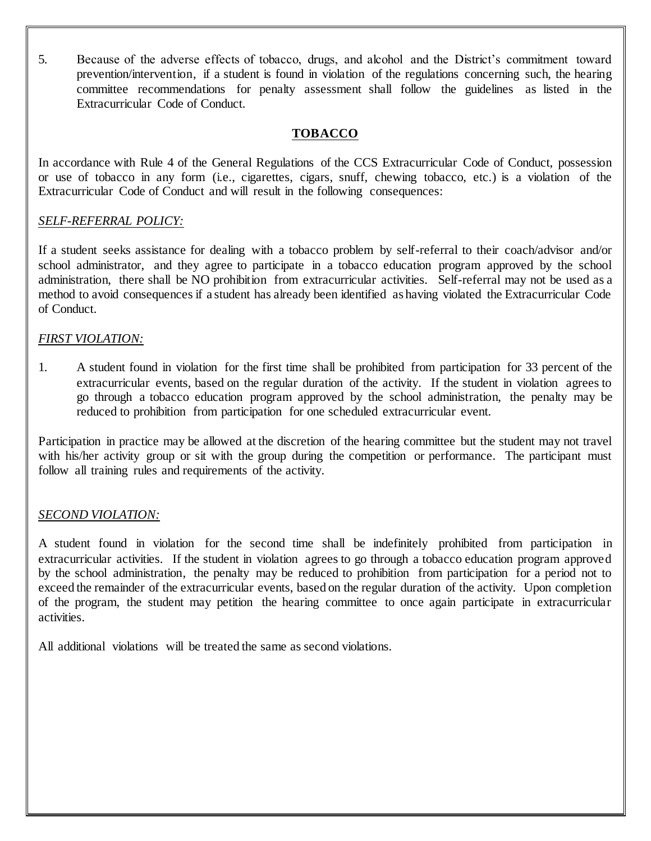5. Because of the adverse effects of tobacco, drugs, and alcohol and the District's commitment toward prevention/intervention, if a student is found in violation of the regulations concerning such, the hearing committee recommendations for penalty assessment shall follow the guidelines as listed in the Extracurricular Code of Conduct.

#### **TOBACCO**

In accordance with Rule 4 of the General Regulations of the CCS Extracurricular Code of Conduct, possession or use of tobacco in any form (i.e., cigarettes, cigars, snuff, chewing tobacco, etc.) is a violation of the Extracurricular Code of Conduct and will result in the following consequences:

#### *SELF-REFERRAL POLICY:*

If a student seeks assistance for dealing with a tobacco problem by self-referral to their coach/advisor and/or school administrator, and they agree to participate in a tobacco education program approved by the school administration, there shall be NO prohibition from extracurricular activities. Self-referral may not be used as a method to avoid consequences if a student has already been identified as having violated the Extracurricular Code of Conduct.

#### *FIRST VIOLATION:*

1. A student found in violation for the first time shall be prohibited from participation for 33 percent of the extracurricular events, based on the regular duration of the activity. If the student in violation agrees to go through a tobacco education program approved by the school administration, the penalty may be reduced to prohibition from participation for one scheduled extracurricular event.

Participation in practice may be allowed at the discretion of the hearing committee but the student may not travel with his/her activity group or sit with the group during the competition or performance. The participant must follow all training rules and requirements of the activity.

### *SECOND VIOLATION:*

A student found in violation for the second time shall be indefinitely prohibited from participation in extracurricular activities. If the student in violation agrees to go through a tobacco education program approved by the school administration, the penalty may be reduced to prohibition from participation for a period not to exceed the remainder of the extracurricular events, based on the regular duration of the activity. Upon completion of the program, the student may petition the hearing committee to once again participate in extracurricular activities.

All additional violations will be treated the same as second violations.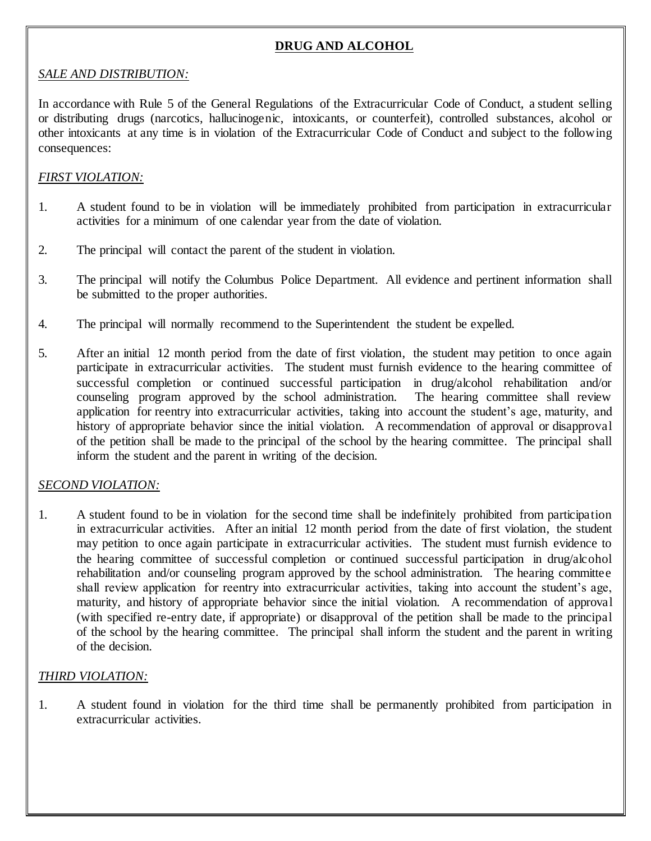# **DRUG AND ALCOHOL**

#### *SALE AND DISTRIBUTION:*

In accordance with Rule 5 of the General Regulations of the Extracurricular Code of Conduct, a student selling or distributing drugs (narcotics, hallucinogenic, intoxicants, or counterfeit), controlled substances, alcohol or other intoxicants at any time is in violation of the Extracurricular Code of Conduct and subject to the following consequences:

### *FIRST VIOLATION:*

- 1. A student found to be in violation will be immediately prohibited from participation in extracurricular activities for a minimum of one calendar year from the date of violation.
- 2. The principal will contact the parent of the student in violation.
- 3. The principal will notify the Columbus Police Department. All evidence and pertinent information shall be submitted to the proper authorities.
- 4. The principal will normally recommend to the Superintendent the student be expelled.
- 5. After an initial 12 month period from the date of first violation, the student may petition to once again participate in extracurricular activities. The student must furnish evidence to the hearing committee of successful completion or continued successful participation in drug/alcohol rehabilitation and/or counseling program approved by the school administration. The hearing committee shall review application for reentry into extracurricular activities, taking into account the student's age, maturity, and history of appropriate behavior since the initial violation. A recommendation of approval or disapproval of the petition shall be made to the principal of the school by the hearing committee. The principal shall inform the student and the parent in writing of the decision.

### *SECOND VIOLATION:*

1. A student found to be in violation for the second time shall be indefinitely prohibited from participation in extracurricular activities. After an initial 12 month period from the date of first violation, the student may petition to once again participate in extracurricular activities. The student must furnish evidence to the hearing committee of successful completion or continued successful participation in drug/alcohol rehabilitation and/or counseling program approved by the school administration. The hearing committee shall review application for reentry into extracurricular activities, taking into account the student's age, maturity, and history of appropriate behavior since the initial violation. A recommendation of approval (with specified re-entry date, if appropriate) or disapproval of the petition shall be made to the principal of the school by the hearing committee. The principal shall inform the student and the parent in writing of the decision.

### *THIRD VIOLATION:*

1. A student found in violation for the third time shall be permanently prohibited from participation in extracurricular activities.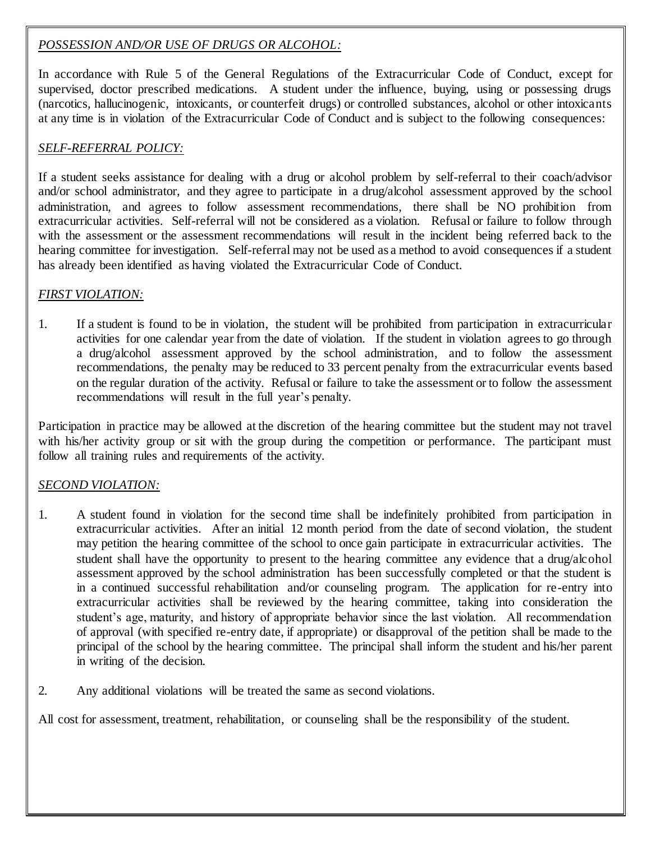## *POSSESSION AND/OR USE OF DRUGS OR ALCOHOL:*

In accordance with Rule 5 of the General Regulations of the Extracurricular Code of Conduct, except for supervised, doctor prescribed medications. A student under the influence, buying, using or possessing drugs (narcotics, hallucinogenic, intoxicants, or counterfeit drugs) or controlled substances, alcohol or other intoxicants at any time is in violation of the Extracurricular Code of Conduct and is subject to the following consequences:

# *SELF-REFERRAL POLICY:*

If a student seeks assistance for dealing with a drug or alcohol problem by self-referral to their coach/advisor and/or school administrator, and they agree to participate in a drug/alcohol assessment approved by the school administration, and agrees to follow assessment recommendations, there shall be NO prohibition from extracurricular activities. Self-referral will not be considered as a violation. Refusal or failure to follow through with the assessment or the assessment recommendations will result in the incident being referred back to the hearing committee for investigation. Self-referral may not be used as a method to avoid consequences if a student has already been identified as having violated the Extracurricular Code of Conduct.

## *FIRST VIOLATION:*

1. If a student is found to be in violation, the student will be prohibited from participation in extracurricular activities for one calendar year from the date of violation. If the student in violation agrees to go through a drug/alcohol assessment approved by the school administration, and to follow the assessment recommendations, the penalty may be reduced to 33 percent penalty from the extracurricular events based on the regular duration of the activity. Refusal or failure to take the assessment or to follow the assessment recommendations will result in the full year's penalty.

Participation in practice may be allowed at the discretion of the hearing committee but the student may not travel with his/her activity group or sit with the group during the competition or performance. The participant must follow all training rules and requirements of the activity.

### *SECOND VIOLATION:*

- 1. A student found in violation for the second time shall be indefinitely prohibited from participation in extracurricular activities. After an initial 12 month period from the date of second violation, the student may petition the hearing committee of the school to once gain participate in extracurricular activities. The student shall have the opportunity to present to the hearing committee any evidence that a drug/alcohol assessment approved by the school administration has been successfully completed or that the student is in a continued successful rehabilitation and/or counseling program. The application for re-entry into extracurricular activities shall be reviewed by the hearing committee, taking into consideration the student's age, maturity, and history of appropriate behavior since the last violation. All recommendation of approval (with specified re-entry date, if appropriate) or disapproval of the petition shall be made to the principal of the school by the hearing committee. The principal shall inform the student and his/her parent in writing of the decision.
- 2. Any additional violations will be treated the same as second violations.

All cost for assessment, treatment, rehabilitation, or counseling shall be the responsibility of the student.